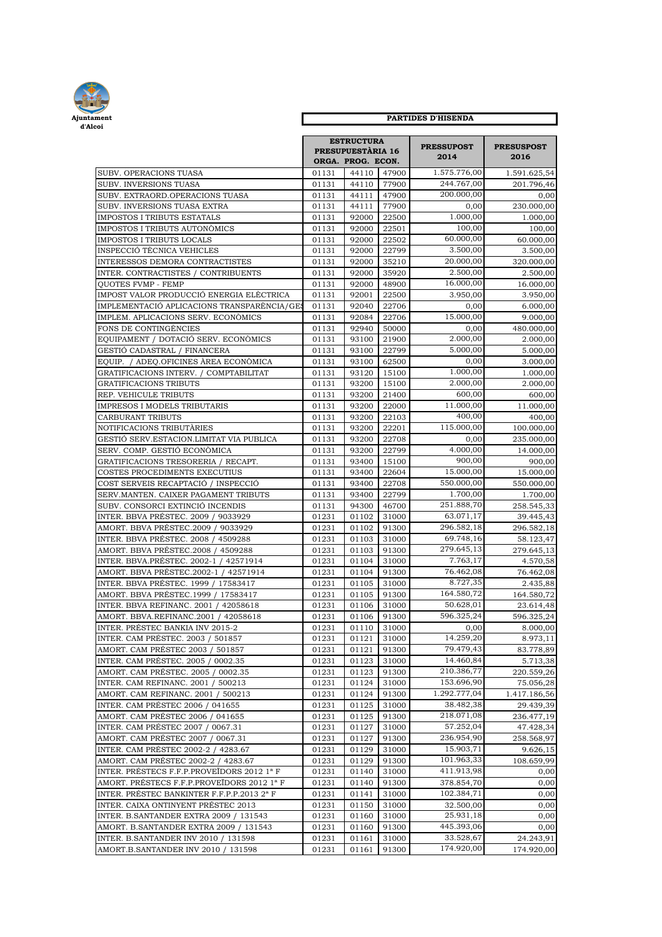

| Ajuntament<br>d'Alcoi                                                       | <b>PARTIDES D'HISENDA</b>                                   |                |                |                           |                           |
|-----------------------------------------------------------------------------|-------------------------------------------------------------|----------------|----------------|---------------------------|---------------------------|
|                                                                             | <b>ESTRUCTURA</b><br>PRESUPUESTÀRIA 16<br>ORGA. PROG. ECON. |                |                | <b>PRESSUPOST</b><br>2014 | <b>PRESUSPOST</b><br>2016 |
| SUBV. OPERACIONS TUASA                                                      | 01131                                                       | 44110          | 47900          | 1.575.776,00              | 1.591.625,54              |
| <b>SUBV. INVERSIONS TUASA</b>                                               | 01131                                                       | 44110          | 77900          | 244.767,00                | 201.796,46                |
| SUBV. EXTRAORD.OPERACIONS TUASA                                             | 01131                                                       | 44111          | 47900          | 200.000,00                | 0,00                      |
| SUBV. INVERSIONS TUASA EXTRA                                                | 01131                                                       | 44111          | 77900          | 0,00                      | 230.000,00                |
| IMPOSTOS I TRIBUTS ESTATALS                                                 | 01131                                                       | 92000          | 22500          | 1.000,00                  | 1.000,00                  |
| IMPOSTOS I TRIBUTS AUTONOMICS                                               | 01131                                                       | 92000          | 22501          | 100,00<br>60.000,00       | 100,00                    |
| IMPOSTOS I TRIBUTS LOCALS                                                   | 01131                                                       | 92000          | 22502          | 3.500,00                  | 60.000,00                 |
| INSPECCIÓ TÈCNICA VEHICLES<br>INTERESSOS DEMORA CONTRACTISTES               | 01131<br>01131                                              | 92000<br>92000 | 22799<br>35210 | 20.000.00                 | 3.500,00<br>320.000,00    |
| INTER. CONTRACTISTES / CONTRIBUENTS                                         | 01131                                                       | 92000          | 35920          | 2.500,00                  | 2.500,00                  |
| <b>OUOTES FVMP - FEMP</b>                                                   | 01131                                                       | 92000          | 48900          | 16.000,00                 | 16.000,00                 |
| IMPOST VALOR PRODUCCIÓ ENERGIA ELÈCTRICA                                    | 01131                                                       | 92001          | 22500          | 3.950,00                  | 3.950,00                  |
| IMPLEMENTACIÓ APLICACIONS TRANSPARÈNCIA/GE:                                 | 01131                                                       | 92040          | 22706          | 0,00                      | 6.000,00                  |
| IMPLEM. APLICACIONS SERV. ECONÒMICS                                         | 01131                                                       | 92084          | 22706          | 15.000,00                 | 9.000,00                  |
| FONS DE CONTINGÉNCIES                                                       | 01131                                                       | 92940          | 50000          | 0.00                      | 480.000,00                |
| EQUIPAMENT / DOTACIÓ SERV. ECONÒMICS                                        | 01131                                                       | 93100          | 21900          | 2.000,00                  | 2.000,00                  |
| GESTIÓ CADASTRAL / FINANCERA                                                | 01131                                                       | 93100          | 22799          | 5.000,00                  | 5.000,00                  |
| EQUIP. / ADEQ.OFICINES ÁREA ECONÓMICA                                       | 01131                                                       | 93100          | 62500          | 0,00                      | 3.000,00                  |
| GRATIFICACIONS INTERV. / COMPTABILITAT                                      | 01131                                                       | 93120          | 15100          | 1.000,00                  | 1.000,00                  |
| GRATIFICACIONS TRIBUTS                                                      | 01131                                                       | 93200          | 15100          | 2.000.00                  | 2.000,00                  |
| REP. VEHICULE TRIBUTS                                                       | 01131                                                       | 93200          | 21400          | 600,00                    | 600,00                    |
| IMPRESOS I MODELS TRIBUTARIS                                                | 01131                                                       | 93200          | 22000          | 11.000,00                 | 11.000,00                 |
| <b>CARBURANT TRIBUTS</b>                                                    | 01131                                                       | 93200          | 22103          | 400,00                    | 400,00                    |
| NOTIFICACIONS TRIBUTÀRIES                                                   | 01131                                                       | 93200          | 22201          | 115.000,00                | 100.000,00                |
| GESTIÓ SERV.ESTACION.LIMITAT VIA PUBLICA                                    | 01131                                                       | 93200          | 22708          | 0,00                      | 235.000,00                |
| SERV. COMP. GESTIÓ ECONÒMICA                                                | 01131                                                       | 93200          | 22799          | 4.000,00                  | 14.000,00                 |
| GRATIFICACIONS TRESORERIA / RECAPT.                                         | 01131                                                       | 93400          | 15100          | 900,00                    | 900,00                    |
| COSTES PROCEDIMENTS EXECUTIUS                                               | 01131                                                       | 93400          | 22604          | 15.000,00<br>550.000,00   | 15.000,00                 |
| COST SERVEIS RECAPTACIÓ / INSPECCIÓ<br>SERV.MANTEN. CAIXER PAGAMENT TRIBUTS | 01131<br>01131                                              | 93400<br>93400 | 22708<br>22799 | 1.700,00                  | 550.000,00                |
| SUBV. CONSORCI EXTINCIÓ INCENDIS                                            | 01131                                                       | 94300          | 46700          | 251.888,70                | 1.700,00<br>258.545,33    |
| INTER. BBVA PRÉSTEC. 2009 / 9033929                                         | 01231                                                       | 01102          | 31000          | 63.071,17                 | 39.445,43                 |
| AMORT. BBVA PRÉSTEC.2009 / 9033929                                          | 01231                                                       | 01102          | 91300          | 296.582,18                | 296.582,18                |
| INTER. BBVA PRÉSTEC. 2008 / 4509288                                         | 01231                                                       | 01103          | 31000          | 69.748,16                 | 58.123,47                 |
| AMORT. BBVA PRÉSTEC.2008 / 4509288                                          | 01231                                                       | 01103          | 91300          | 279.645,13                | 279.645,13                |
| INTER. BBVA.PRÉSTEC. 2002-1 / 42571914                                      | 01231                                                       | 01104          | 31000          | 7.763,17                  | 4.570,58                  |
| AMORT. BBVA PRÉSTEC.2002-1 / 42571914                                       | 01231                                                       | 01104          | 91300          | 76.462,08                 | 76.462,08                 |
| INTER. BBVA PRÉSTEC. 1999 / 17583417                                        | 01231                                                       | 01105          | 31000          | 8.727,35                  | 2.435,88                  |
| AMORT. BBVA PRÉSTEC.1999 / 17583417                                         | 01231                                                       | 01105          | 91300          | 164.580,72                | 164.580.72                |
| INTER. BBVA REFINANC. 2001 / 42058618                                       | 01231                                                       | 01106          | 31000          | 50.628,01                 | 23.614,48                 |
| AMORT. BBVA.REFINANC.2001 / 42058618                                        | 01231                                                       | 01106          | 91300          | 596.325,24                | 596.325,24                |
| INTER. PRÉSTEC BANKIA INV 2015-2                                            | 01231                                                       | 01110          | 31000          | 0,00                      | 8.000,00                  |
| INTER. CAM PRÉSTEC. 2003 / 501857                                           | 01231                                                       | 01121          | 31000          | 14.259,20                 | 8.973,11                  |
| AMORT. CAM PRÉSTEC 2003 / 501857                                            | 01231                                                       | 01121          | 91300          | 79.479,43                 | 83.778,89                 |
| INTER. CAM PRÉSTEC. 2005 / 0002.35                                          | 01231                                                       | 01123          | 31000          | 14.460,84                 | 5.713,38                  |
| AMORT. CAM PRÉSTEC. 2005 / 0002.35                                          | 01231                                                       | 01123          | 91300          | 210.386,77                | 220.559,26                |
| INTER. CAM REFINANC. 2001 / 500213                                          | 01231                                                       | 01124          | 31000          | 153.696,90                | 75.056,28                 |
| AMORT. CAM REFINANC. 2001 / 500213                                          | 01231                                                       | 01124          | 91300          | 1.292.777,04              | 1.417.186,56              |
| INTER. CAM PRÉSTEC 2006 / 041655                                            | 01231                                                       | 01125          | 31000          | 38.482,38                 | 29.439,39                 |
| AMORT. CAM PRÉSTEC 2006 / 041655                                            | 01231                                                       | 01125          | 91300          | 218.071,08                | 236.477,19                |
| INTER. CAM PRÉSTEC 2007 / 0067.31                                           | 01231                                                       | 01127          | 31000          | 57.252,04                 | 47.428,34                 |
| AMORT. CAM PRÉSTEC 2007 / 0067.31                                           | 01231                                                       | 01127          | 91300          | 236.954,90                | 258.568,97                |
| INTER. CAM PRÉSTEC 2002-2 / 4283.67<br>AMORT. CAM PRÉSTEC 2002-2 / 4283.67  | 01231<br>01231                                              | 01129<br>01129 | 31000<br>91300 | 15.903,71<br>101.963,33   | 9.626,15<br>108.659,99    |
| INTER. PRÉSTECS F.F.P.PROVEÏDORS 2012 1ª F                                  | 01231                                                       | 01140          | 31000          | 411.913,98                | 0,00                      |
| AMORT. PRÉSTECS F.F.P.PROVEÏDORS 2012 1ª F                                  | 01231                                                       | 01140          | 91300          | 378.854,70                | 0,00                      |
| INTER. PRÉSTEC BANKINTER F.F.P.P.2013 2ª F                                  | 01231                                                       | 01141          | 31000          | 102.384,71                | 0,00                      |
| INTER. CAIXA ONTINYENT PRÉSTEC 2013                                         | 01231                                                       | 01150          | 31000          | 32.500,00                 | 0,00                      |
| INTER. B.SANTANDER EXTRA 2009 / 131543                                      | 01231                                                       | 01160          | 31000          | 25.931,18                 | 0,00                      |
| AMORT. B.SANTANDER EXTRA 2009 / 131543                                      | 01231                                                       | 01160          | 91300          | 445.393,06                | 0,00                      |
| INTER. B.SANTANDER INV 2010 / 131598                                        | 01231                                                       | 01161          | 31000          | 33.528,67                 | 24.243,91                 |
| AMORT.B.SANTANDER INV 2010 / 131598                                         | 01231                                                       | 01161          | 91300          | 174.920,00                | 174.920,00                |